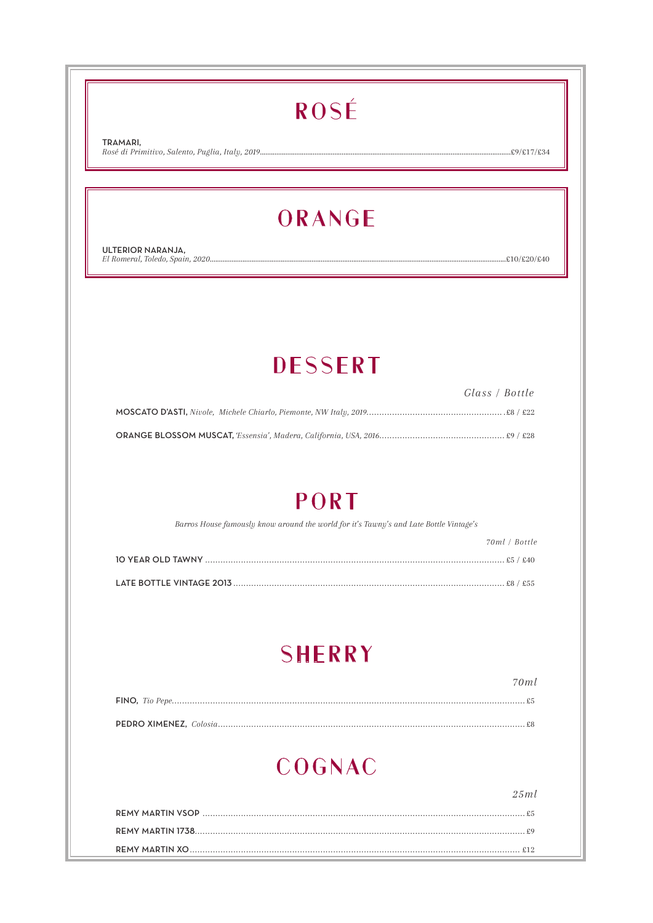# ROSÉ

TRAMARI. Rosé di Primitivo, Salento, Puglia, Italy, 2019..........

..................£9/£17/£34

# ORANGE

ULTERIOR NARANJA, El Romeral, Toledo, Spain, 2020....

 $.£10/£20/£40$ 

# **DESSERT**

| Glass / Bottle |
|----------------|
|                |
|                |

### PORT

Barros House famously know around the world for it's Tawny's and Late Bottle Vintage's

| 70ml / Bottle |
|---------------|
|               |
|               |

# **SHERRY**

# COGNAC

 $25ml$ 

 $70ml$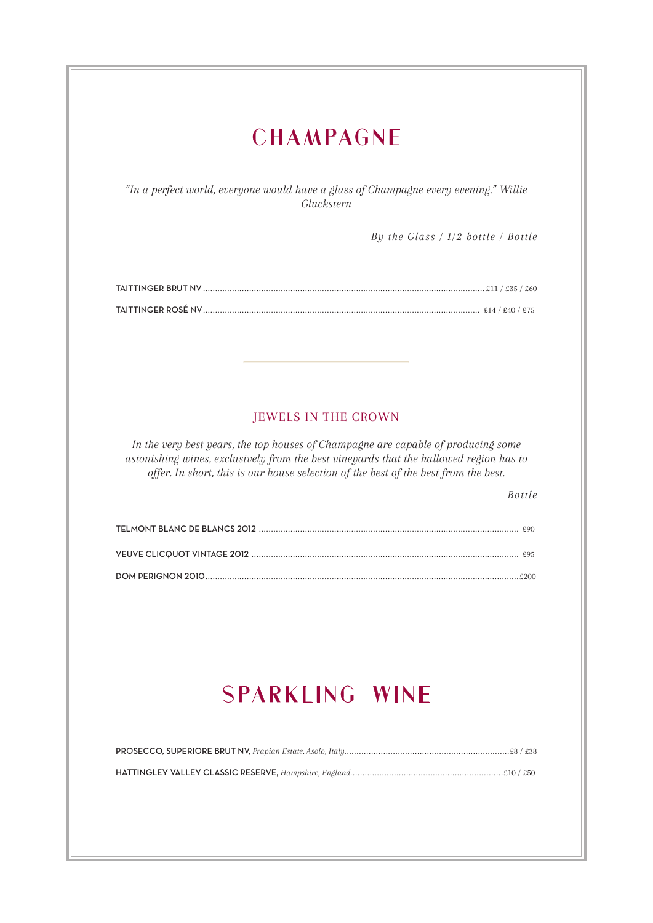| <b>CHAMPAGNE</b>                                                                                                                                                                               |
|------------------------------------------------------------------------------------------------------------------------------------------------------------------------------------------------|
|                                                                                                                                                                                                |
| "In a perfect world, everyone would have a glass of Champagne every evening." Willie<br>Gluckstern                                                                                             |
| By the Glass $/ 1/2$ bottle $/$ Bottle                                                                                                                                                         |
|                                                                                                                                                                                                |
|                                                                                                                                                                                                |
|                                                                                                                                                                                                |
|                                                                                                                                                                                                |
|                                                                                                                                                                                                |
|                                                                                                                                                                                                |
| <b>JEWELS IN THE CROWN</b><br>In the very best years, the top houses of Champagne are capable of producing some                                                                                |
| astonishing wines, exclusively from the best vineyards that the hallowed region has to<br>offer. In short, this is our house selection of the best of the best from the best.<br><b>Bottle</b> |
|                                                                                                                                                                                                |
|                                                                                                                                                                                                |
|                                                                                                                                                                                                |
| <b>SPARKLING WINE</b>                                                                                                                                                                          |
|                                                                                                                                                                                                |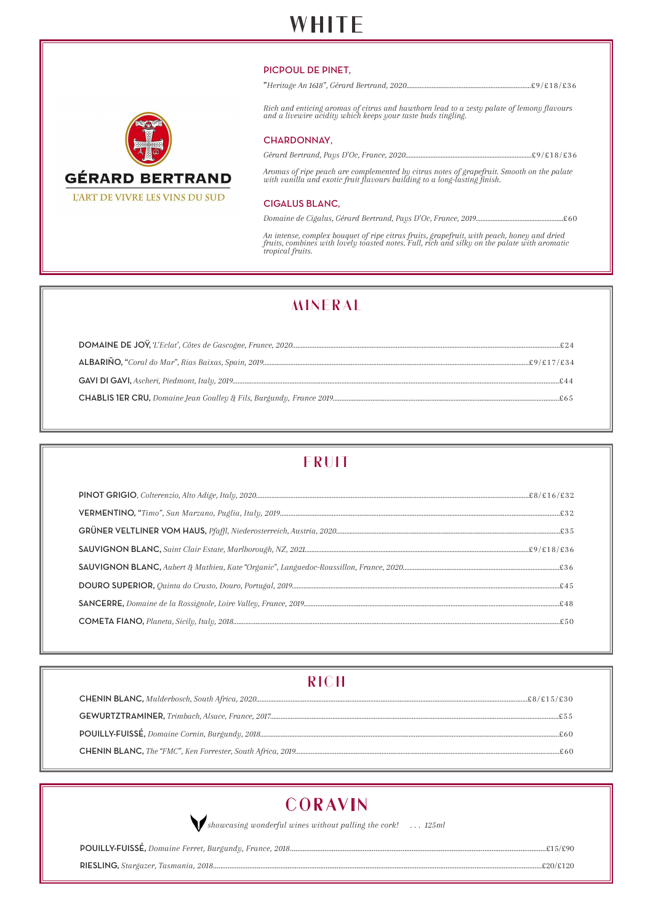## **WHITE**

#### PICPOUL DE PINET,

| <b>GÉRARD BERTRAND</b>         |
|--------------------------------|
| L'ART DE VIVRE LES VINS DU SUD |

| Rich and enticing aromas of citrus and hawthorn lead to a zesty palate of lemony flavours<br>and a livewire acidity which keeps your taste buds tingling.              |  |
|------------------------------------------------------------------------------------------------------------------------------------------------------------------------|--|
| CHARDONNAY,                                                                                                                                                            |  |
|                                                                                                                                                                        |  |
| Aromas of ripe peach are complemented by citrus notes of grapefruit. Smooth on the palate<br>with vanilla and exotic fruit flavours building to a long-lasting finish. |  |
|                                                                                                                                                                        |  |

#### CIGALUS BLANC,

*Domaine de Cigalus, Gérard Bertrand, Pays D'Oc, France, 2019....................................................*£60

*An intense, complex bouquet of ripe citrus fruits, grapefruit, with peach, honey and dried fruits, combines with lovely toasted notes. Full, rich and silky on the palate with aromatic tropical fruits.* 

### **MINERAL**

### **FRUIT**

### **RICH**



*showcasing wonderful wines without pulling the cork! . . . 125ml*

POUILLY-FUISSÉ, *Domaine Ferret, Burgundy, France, 2018*.............................................................................................................................................£15/£90

RIESLING, *Stargazer, Tasmania, 2018*.....................................................................................................................................................................................£20/£120